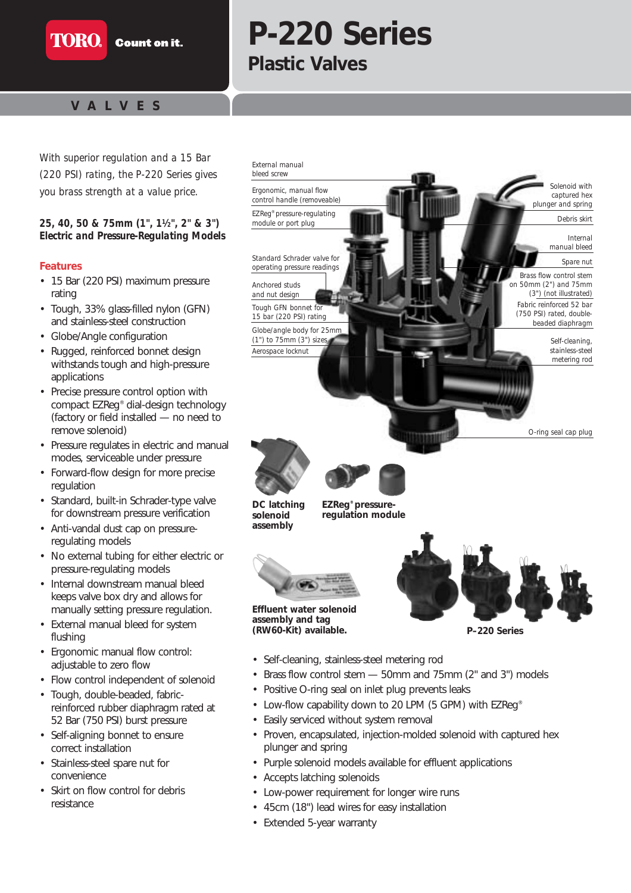

# **P-220 Series Plastic Valves**

# **VAL VES**

**TORO** 

*With superior regulation and a 15 Bar (220 PSI) rating, the P-220 Series gives you brass strength at a value price.*

#### *25, 40, 50 & 75mm (1", 11⁄2", 2" & 3") Electric and Pressure-Regulating Models*

#### **Features**

- 15 Bar (220 PSI) maximum pressure rating
- Tough, 33% glass-filled nylon (GFN) and stainless-steel construction
- Globe/Angle configuration
- Rugged, reinforced bonnet design withstands tough and high-pressure applications
- Precise pressure control option with compact EZReg® dial-design technology (factory or field installed — no need to remove solenoid)
- Pressure regulates in electric and manual modes, serviceable under pressure
- Forward-flow design for more precise regulation
- Standard, built-in Schrader-type valve for downstream pressure verification
- Anti-vandal dust cap on pressureregulating models
- No external tubing for either electric or pressure-regulating models
- Internal downstream manual bleed keeps valve box dry and allows for manually setting pressure regulation.
- External manual bleed for system flushing
- Ergonomic manual flow control: adjustable to zero flow
- Flow control independent of solenoid
- Tough, double-beaded, fabricreinforced rubber diaphragm rated at 52 Bar (750 PSI) burst pressure
- Self-aligning bonnet to ensure correct installation
- Stainless-steel spare nut for convenience
- Skirt on flow control for debris resistance

*EZReg® pressure-regulating module or port plug Standard Schrader valve for operating pressure readings External manual bleed screw Ergonomic, manual flow control handle (removeable) Anchored studs and nut design Tough GFN bonnet for 15 bar (220 PSI) rating Globe/angle body for 25mm (1") to 75mm (3") sizes Aerospace locknut Solenoid with captured hex plunger and spring Internal manual bleed Spare nut Debris skirt Fabric reinforced 52 bar (750 PSI) rated, doublebeaded diaphragm Brass flow control stem on 50mm (2") and 75mm (3") (not illustrated) Self-cleaning, stainless-steel metering rod*



**DC latching solenoid assembly**

**EZReg® pressureregulation module**



**assembly and tag**



*O-ring seal cap plug*

**(RW60-Kit) available.**

**P–220 Series**

- Self-cleaning, stainless-steel metering rod
- Brass flow control stem 50mm and 75mm (2" and 3") models
- Positive O-ring seal on inlet plug prevents leaks
- Low-flow capability down to 20 LPM (5 GPM) with EZReg<sup>®</sup>
- Easily serviced without system removal
- Proven, encapsulated, injection-molded solenoid with captured hex plunger and spring
- Purple solenoid models available for effluent applications
- Accepts latching solenoids
- Low-power requirement for longer wire runs
- 45cm (18") lead wires for easy installation
- Extended 5-year warranty